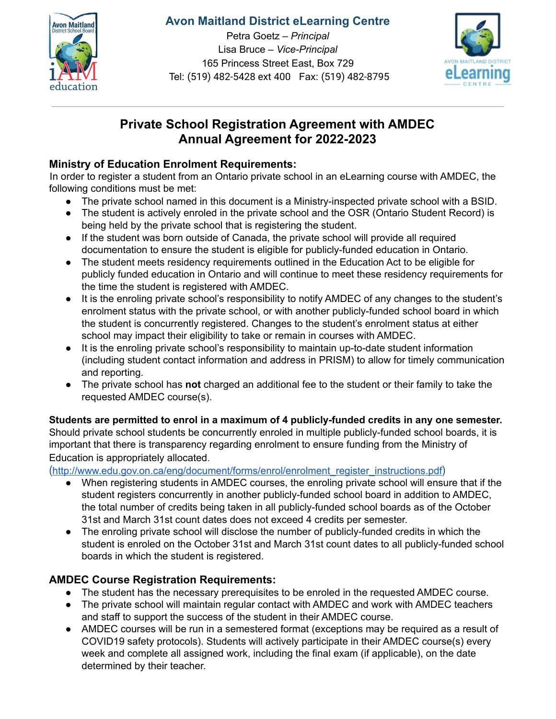

## **Avon Maitland District eLearning Centre**

Petra Goetz – *Principal* Lisa Bruce – *Vice-Principal* 165 Princess Street East, Box 729 Tel: (519) 482-5428 ext 400 Fax: (519) 482-8795



# **Private School Registration Agreement with AMDEC Annual Agreement for 2022-2023**

## **Ministry of Education Enrolment Requirements:**

In order to register a student from an Ontario private school in an eLearning course with AMDEC, the following conditions must be met:

- The private school named in this document is a Ministry-inspected private school with a BSID.
- The student is actively enroled in the private school and the OSR (Ontario Student Record) is being held by the private school that is registering the student.
- If the student was born outside of Canada, the private school will provide all required documentation to ensure the student is eligible for publicly-funded education in Ontario.
- The student meets residency requirements outlined in the Education Act to be eligible for publicly funded education in Ontario and will continue to meet these residency requirements for the time the student is registered with AMDEC.
- It is the enroling private school's responsibility to notify AMDEC of any changes to the student's enrolment status with the private school, or with another publicly-funded school board in which the student is concurrently registered. Changes to the student's enrolment status at either school may impact their eligibility to take or remain in courses with AMDEC.
- It is the enroling private school's responsibility to maintain up-to-date student information (including student contact information and address in PRISM) to allow for timely communication and reporting.
- The private school has **not** charged an additional fee to the student or their family to take the requested AMDEC course(s).

**Students are permitted to enrol in a maximum of 4 publicly-funded credits in any one semester.** Should private school students be concurrently enroled in multiple publicly-funded school boards, it is important that there is transparency regarding enrolment to ensure funding from the Ministry of Education is appropriately allocated.

([http://www.edu.gov.on.ca/eng/document/forms/enrol/enrolment\\_register\\_instructions.pdf](http://www.edu.gov.on.ca/eng/document/forms/enrol/enrolment_register_instructions.pdf))

- When registering students in AMDEC courses, the enroling private school will ensure that if the student registers concurrently in another publicly-funded school board in addition to AMDEC, the total number of credits being taken in all publicly-funded school boards as of the October 31st and March 31st count dates does not exceed 4 credits per semester.
- The enroling private school will disclose the number of publicly-funded credits in which the student is enroled on the October 31st and March 31st count dates to all publicly-funded school boards in which the student is registered.

## **AMDEC Course Registration Requirements:**

- The student has the necessary prerequisites to be enroled in the requested AMDEC course.
- The private school will maintain regular contact with AMDEC and work with AMDEC teachers and staff to support the success of the student in their AMDEC course.
- AMDEC courses will be run in a semestered format (exceptions may be required as a result of COVID19 safety protocols). Students will actively participate in their AMDEC course(s) every week and complete all assigned work, including the final exam (if applicable), on the date determined by their teacher.